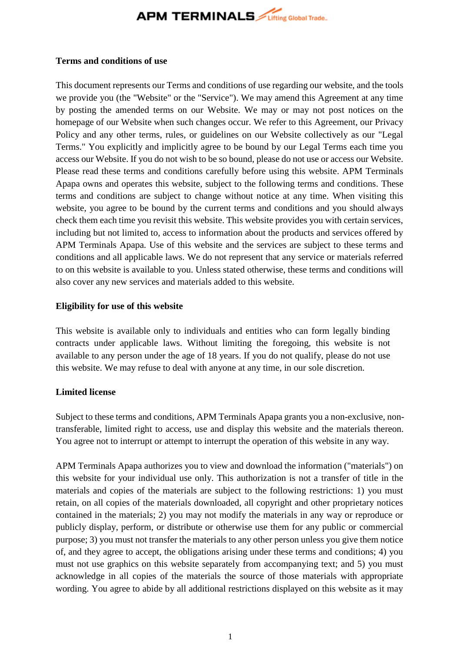## **APM TERMINALS** *Lifting Global Trade.*

#### **Terms and conditions of use**

This document represents our Terms and conditions of use regarding our website, and the tools we provide you (the "Website" or the "Service"). We may amend this Agreement at any time by posting the amended terms on our Website. We may or may not post notices on the homepage of our Website when such changes occur. We refer to this Agreement, our Privacy Policy and any other terms, rules, or guidelines on our Website collectively as our "Legal Terms." You explicitly and implicitly agree to be bound by our Legal Terms each time you access our Website. If you do not wish to be so bound, please do not use or access our Website. Please read these terms and conditions carefully before using this website. APM Terminals Apapa owns and operates this website, subject to the following terms and conditions. These terms and conditions are subject to change without notice at any time. When visiting this website, you agree to be bound by the current terms and conditions and you should always check them each time you revisit this website. This website provides you with certain services, including but not limited to, access to information about the products and services offered by APM Terminals Apapa. Use of this website and the services are subject to these terms and conditions and all applicable laws. We do not represent that any service or materials referred to on this website is available to you. Unless stated otherwise, these terms and conditions will also cover any new services and materials added to this website.

### **Eligibility for use of this website**

This website is available only to individuals and entities who can form legally binding contracts under applicable laws. Without limiting the foregoing, this website is not available to any person under the age of 18 years. If you do not qualify, please do not use this website. We may refuse to deal with anyone at any time, in our sole discretion.

### **Limited license**

Subject to these terms and conditions, APM Terminals Apapa grants you a non-exclusive, nontransferable, limited right to access, use and display this website and the materials thereon. You agree not to interrupt or attempt to interrupt the operation of this website in any way.

APM Terminals Apapa authorizes you to view and download the information ("materials") on this website for your individual use only. This authorization is not a transfer of title in the materials and copies of the materials are subject to the following restrictions: 1) you must retain, on all copies of the materials downloaded, all copyright and other proprietary notices contained in the materials; 2) you may not modify the materials in any way or reproduce or publicly display, perform, or distribute or otherwise use them for any public or commercial purpose; 3) you must not transfer the materials to any other person unless you give them notice of, and they agree to accept, the obligations arising under these terms and conditions; 4) you must not use graphics on this website separately from accompanying text; and 5) you must acknowledge in all copies of the materials the source of those materials with appropriate wording. You agree to abide by all additional restrictions displayed on this website as it may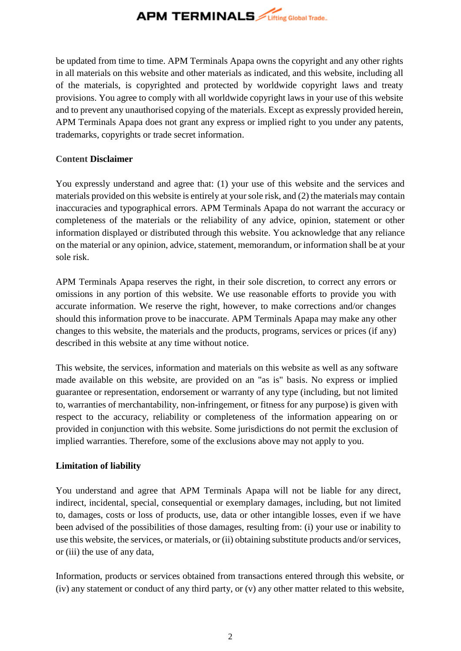

be updated from time to time. APM Terminals Apapa owns the copyright and any other rights in all materials on this website and other materials as indicated, and this website, including all of the materials, is copyrighted and protected by worldwide copyright laws and treaty provisions. You agree to comply with all worldwide copyright laws in your use of this website and to prevent any unauthorised copying of the materials. Except as expressly provided herein, APM Terminals Apapa does not grant any express or implied right to you under any patents, trademarks, copyrights or trade secret information.

### **Content Disclaimer**

You expressly understand and agree that: (1) your use of this website and the services and materials provided on this website is entirely at your sole risk, and (2) the materials may contain inaccuracies and typographical errors. APM Terminals Apapa do not warrant the accuracy or completeness of the materials or the reliability of any advice, opinion, statement or other information displayed or distributed through this website. You acknowledge that any reliance on the material or any opinion, advice, statement, memorandum, or information shall be at your sole risk.

APM Terminals Apapa reserves the right, in their sole discretion, to correct any errors or omissions in any portion of this website. We use reasonable efforts to provide you with accurate information. We reserve the right, however, to make corrections and/or changes should this information prove to be inaccurate. APM Terminals Apapa may make any other changes to this website, the materials and the products, programs, services or prices (if any) described in this website at any time without notice.

This website, the services, information and materials on this website as well as any software made available on this website, are provided on an "as is" basis. No express or implied guarantee or representation, endorsement or warranty of any type (including, but not limited to, warranties of merchantability, non-infringement, or fitness for any purpose) is given with respect to the accuracy, reliability or completeness of the information appearing on or provided in conjunction with this website. Some jurisdictions do not permit the exclusion of implied warranties. Therefore, some of the exclusions above may not apply to you.

### **Limitation of liability**

You understand and agree that APM Terminals Apapa will not be liable for any direct, indirect, incidental, special, consequential or exemplary damages, including, but not limited to, damages, costs or loss of products, use, data or other intangible losses, even if we have been advised of the possibilities of those damages, resulting from: (i) your use or inability to use this website, the services, or materials, or (ii) obtaining substitute products and/or services, or (iii) the use of any data,

Information, products or services obtained from transactions entered through this website, or (iv) any statement or conduct of any third party, or (v) any other matter related to this website,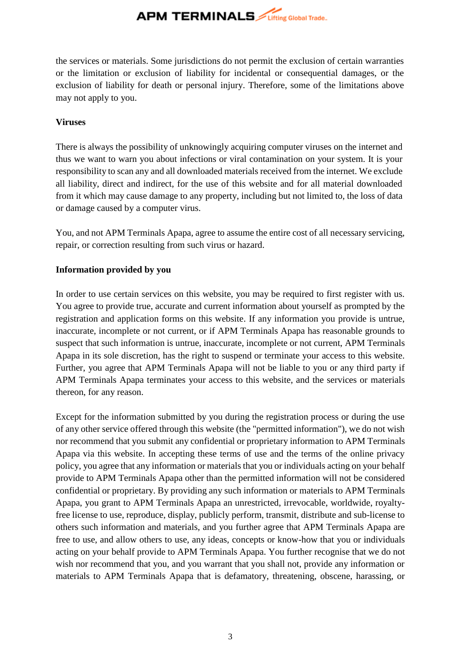## **APM TERMINALS** *Lifting Global Trade.*

the services or materials. Some jurisdictions do not permit the exclusion of certain warranties or the limitation or exclusion of liability for incidental or consequential damages, or the exclusion of liability for death or personal injury. Therefore, some of the limitations above may not apply to you.

## **Viruses**

There is always the possibility of unknowingly acquiring computer viruses on the internet and thus we want to warn you about infections or viral contamination on your system. It is your responsibility to scan any and all downloaded materials received from the internet. We exclude all liability, direct and indirect, for the use of this website and for all material downloaded from it which may cause damage to any property, including but not limited to, the loss of data or damage caused by a computer virus.

You, and not APM Terminals Apapa, agree to assume the entire cost of all necessary servicing, repair, or correction resulting from such virus or hazard.

## **Information provided by you**

In order to use certain services on this website, you may be required to first register with us. You agree to provide true, accurate and current information about yourself as prompted by the registration and application forms on this website. If any information you provide is untrue, inaccurate, incomplete or not current, or if APM Terminals Apapa has reasonable grounds to suspect that such information is untrue, inaccurate, incomplete or not current, APM Terminals Apapa in its sole discretion, has the right to suspend or terminate your access to this website. Further, you agree that APM Terminals Apapa will not be liable to you or any third party if APM Terminals Apapa terminates your access to this website, and the services or materials thereon, for any reason.

Except for the information submitted by you during the registration process or during the use of any other service offered through this website (the "permitted information"), we do not wish nor recommend that you submit any confidential or proprietary information to APM Terminals Apapa via this website. In accepting these terms of use and the terms of the online privacy policy, you agree that any information or materials that you or individuals acting on your behalf provide to APM Terminals Apapa other than the permitted information will not be considered confidential or proprietary. By providing any such information or materials to APM Terminals Apapa, you grant to APM Terminals Apapa an unrestricted, irrevocable, worldwide, royaltyfree license to use, reproduce, display, publicly perform, transmit, distribute and sub-license to others such information and materials, and you further agree that APM Terminals Apapa are free to use, and allow others to use, any ideas, concepts or know-how that you or individuals acting on your behalf provide to APM Terminals Apapa. You further recognise that we do not wish nor recommend that you, and you warrant that you shall not, provide any information or materials to APM Terminals Apapa that is defamatory, threatening, obscene, harassing, or